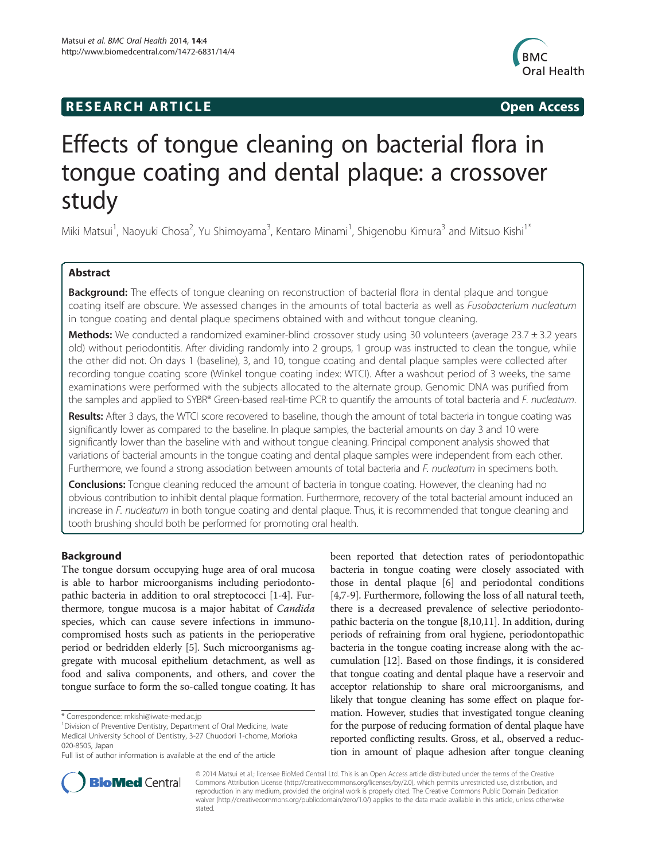## **RESEARCH ARTICLE Example 2014 CONSIDERING CONSIDERING CONSIDERING CONSIDERING CONSIDERING CONSIDERING CONSIDERING CONSIDERING CONSIDERING CONSIDERING CONSIDERING CONSIDERING CONSIDERING CONSIDERING CONSIDERING CONSIDE**



# Effects of tongue cleaning on bacterial flora in tongue coating and dental plaque: a crossover study

Miki Matsui<sup>1</sup>, Naoyuki Chosa<sup>2</sup>, Yu Shimoyama<sup>3</sup>, Kentaro Minami<sup>1</sup>, Shigenobu Kimura<sup>3</sup> and Mitsuo Kishi<sup>1\*</sup>

## Abstract

**Background:** The effects of tongue cleaning on reconstruction of bacterial flora in dental plaque and tongue coating itself are obscure. We assessed changes in the amounts of total bacteria as well as Fusobacterium nucleatum in tongue coating and dental plaque specimens obtained with and without tongue cleaning.

Methods: We conducted a randomized examiner-blind crossover study using 30 volunteers (average 23.7 ± 3.2 years old) without periodontitis. After dividing randomly into 2 groups, 1 group was instructed to clean the tongue, while the other did not. On days 1 (baseline), 3, and 10, tongue coating and dental plaque samples were collected after recording tongue coating score (Winkel tongue coating index: WTCI). After a washout period of 3 weeks, the same examinations were performed with the subjects allocated to the alternate group. Genomic DNA was purified from the samples and applied to SYBR® Green-based real-time PCR to quantify the amounts of total bacteria and F. nucleatum.

Results: After 3 days, the WTCI score recovered to baseline, though the amount of total bacteria in tongue coating was significantly lower as compared to the baseline. In plaque samples, the bacterial amounts on day 3 and 10 were significantly lower than the baseline with and without tongue cleaning. Principal component analysis showed that variations of bacterial amounts in the tongue coating and dental plaque samples were independent from each other. Furthermore, we found a strong association between amounts of total bacteria and F. nucleatum in specimens both.

**Conclusions:** Tongue cleaning reduced the amount of bacteria in tongue coating. However, the cleaning had no obvious contribution to inhibit dental plaque formation. Furthermore, recovery of the total bacterial amount induced an increase in F. nucleatum in both tongue coating and dental plaque. Thus, it is recommended that tongue cleaning and tooth brushing should both be performed for promoting oral health.

## Background

The tongue dorsum occupying huge area of oral mucosa is able to harbor microorganisms including periodontopathic bacteria in addition to oral streptococci [[1-4\]](#page-7-0). Furthermore, tongue mucosa is a major habitat of Candida species, which can cause severe infections in immunocompromised hosts such as patients in the perioperative period or bedridden elderly [\[5](#page-7-0)]. Such microorganisms aggregate with mucosal epithelium detachment, as well as food and saliva components, and others, and cover the tongue surface to form the so-called tongue coating. It has

\* Correspondence: [mkishi@iwate-med.ac.jp](mailto:mkishi@iwate-med.ac.jp) <sup>1</sup>

been reported that detection rates of periodontopathic bacteria in tongue coating were closely associated with those in dental plaque [\[6\]](#page-7-0) and periodontal conditions [[4,7-9\]](#page-7-0). Furthermore, following the loss of all natural teeth, there is a decreased prevalence of selective periodontopathic bacteria on the tongue [\[8,10,11\]](#page-7-0). In addition, during periods of refraining from oral hygiene, periodontopathic bacteria in the tongue coating increase along with the accumulation [[12](#page-7-0)]. Based on those findings, it is considered that tongue coating and dental plaque have a reservoir and acceptor relationship to share oral microorganisms, and likely that tongue cleaning has some effect on plaque formation. However, studies that investigated tongue cleaning for the purpose of reducing formation of dental plaque have reported conflicting results. Gross, et al., observed a reduction in amount of plaque adhesion after tongue cleaning



© 2014 Matsui et al.; licensee BioMed Central Ltd. This is an Open Access article distributed under the terms of the Creative Commons Attribution License [\(http://creativecommons.org/licenses/by/2.0\)](http://creativecommons.org/licenses/by/2.0), which permits unrestricted use, distribution, and reproduction in any medium, provided the original work is properly cited. The Creative Commons Public Domain Dedication waiver [\(http://creativecommons.org/publicdomain/zero/1.0/\)](http://creativecommons.org/publicdomain/zero/1.0/) applies to the data made available in this article, unless otherwise stated.

<sup>&</sup>lt;sup>1</sup> Division of Preventive Dentistry, Department of Oral Medicine, Iwate Medical University School of Dentistry, 3-27 Chuodori 1-chome, Morioka 020-8505, Japan

Full list of author information is available at the end of the article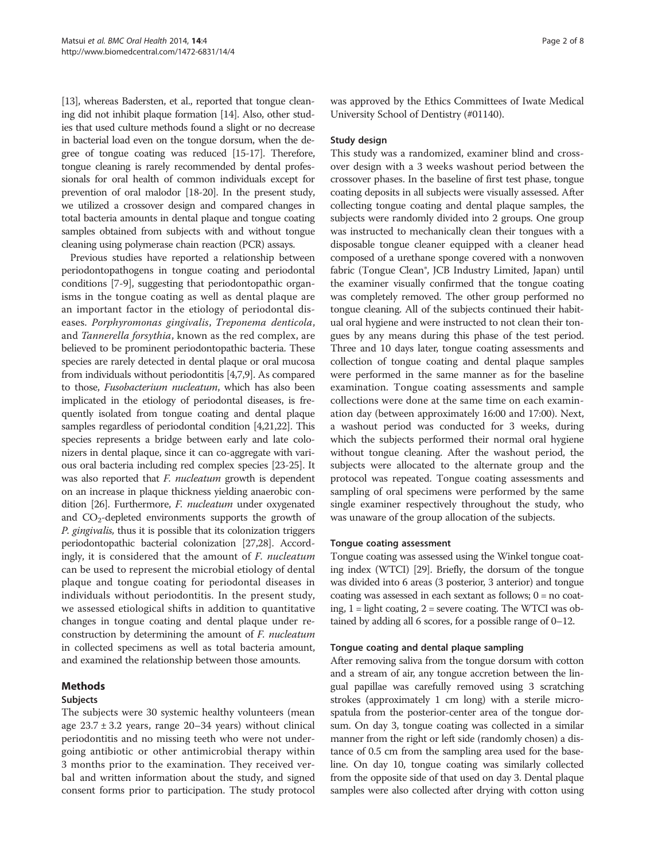[[13](#page-7-0)], whereas Badersten, et al., reported that tongue cleaning did not inhibit plaque formation [\[14\]](#page-7-0). Also, other studies that used culture methods found a slight or no decrease in bacterial load even on the tongue dorsum, when the degree of tongue coating was reduced [\[15-17\]](#page-7-0). Therefore, tongue cleaning is rarely recommended by dental professionals for oral health of common individuals except for prevention of oral malodor [\[18-20](#page-7-0)]. In the present study, we utilized a crossover design and compared changes in total bacteria amounts in dental plaque and tongue coating samples obtained from subjects with and without tongue cleaning using polymerase chain reaction (PCR) assays.

Previous studies have reported a relationship between periodontopathogens in tongue coating and periodontal conditions [\[7](#page-7-0)-[9](#page-7-0)], suggesting that periodontopathic organisms in the tongue coating as well as dental plaque are an important factor in the etiology of periodontal diseases. Porphyromonas gingivalis, Treponema denticola, and Tannerella forsythia, known as the red complex, are believed to be prominent periodontopathic bacteria. These species are rarely detected in dental plaque or oral mucosa from individuals without periodontitis [\[4,7,9](#page-7-0)]. As compared to those, Fusobacterium nucleatum, which has also been implicated in the etiology of periodontal diseases, is frequently isolated from tongue coating and dental plaque samples regardless of periodontal condition [[4,21,22\]](#page-7-0). This species represents a bridge between early and late colonizers in dental plaque, since it can co-aggregate with various oral bacteria including red complex species [\[23-25\]](#page-7-0). It was also reported that *F. nucleatum* growth is dependent on an increase in plaque thickness yielding anaerobic con-dition [[26](#page-7-0)]. Furthermore, *F. nucleatum* under oxygenated and  $CO<sub>2</sub>$ -depleted environments supports the growth of P. gingivalis, thus it is possible that its colonization triggers periodontopathic bacterial colonization [\[27,28](#page-7-0)]. Accordingly, it is considered that the amount of F. nucleatum can be used to represent the microbial etiology of dental plaque and tongue coating for periodontal diseases in individuals without periodontitis. In the present study, we assessed etiological shifts in addition to quantitative changes in tongue coating and dental plaque under reconstruction by determining the amount of F. nucleatum in collected specimens as well as total bacteria amount, and examined the relationship between those amounts.

#### Methods

### Subjects

The subjects were 30 systemic healthy volunteers (mean age  $23.7 \pm 3.2$  years, range  $20-34$  years) without clinical periodontitis and no missing teeth who were not undergoing antibiotic or other antimicrobial therapy within 3 months prior to the examination. They received verbal and written information about the study, and signed consent forms prior to participation. The study protocol was approved by the Ethics Committees of Iwate Medical University School of Dentistry (#01140).

#### Study design

This study was a randomized, examiner blind and crossover design with a 3 weeks washout period between the crossover phases. In the baseline of first test phase, tongue coating deposits in all subjects were visually assessed. After collecting tongue coating and dental plaque samples, the subjects were randomly divided into 2 groups. One group was instructed to mechanically clean their tongues with a disposable tongue cleaner equipped with a cleaner head composed of a urethane sponge covered with a nonwoven fabric (Tongue Clean®, JCB Industry Limited, Japan) until the examiner visually confirmed that the tongue coating was completely removed. The other group performed no tongue cleaning. All of the subjects continued their habitual oral hygiene and were instructed to not clean their tongues by any means during this phase of the test period. Three and 10 days later, tongue coating assessments and collection of tongue coating and dental plaque samples were performed in the same manner as for the baseline examination. Tongue coating assessments and sample collections were done at the same time on each examination day (between approximately 16:00 and 17:00). Next, a washout period was conducted for 3 weeks, during which the subjects performed their normal oral hygiene without tongue cleaning. After the washout period, the subjects were allocated to the alternate group and the protocol was repeated. Tongue coating assessments and sampling of oral specimens were performed by the same single examiner respectively throughout the study, who was unaware of the group allocation of the subjects.

#### Tongue coating assessment

Tongue coating was assessed using the Winkel tongue coating index (WTCI) [\[29\]](#page-7-0). Briefly, the dorsum of the tongue was divided into 6 areas (3 posterior, 3 anterior) and tongue coating was assessed in each sextant as follows;  $0 = no$  coating,  $1 =$  light coating,  $2 =$  severe coating. The WTCI was obtained by adding all 6 scores, for a possible range of 0–12.

#### Tongue coating and dental plaque sampling

After removing saliva from the tongue dorsum with cotton and a stream of air, any tongue accretion between the lingual papillae was carefully removed using 3 scratching strokes (approximately 1 cm long) with a sterile microspatula from the posterior-center area of the tongue dorsum. On day 3, tongue coating was collected in a similar manner from the right or left side (randomly chosen) a distance of 0.5 cm from the sampling area used for the baseline. On day 10, tongue coating was similarly collected from the opposite side of that used on day 3. Dental plaque samples were also collected after drying with cotton using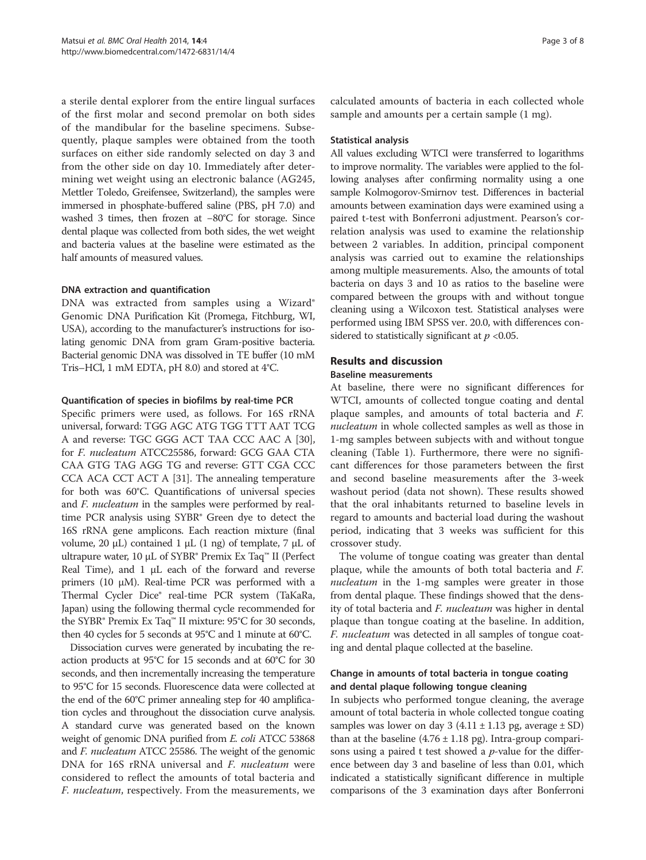a sterile dental explorer from the entire lingual surfaces of the first molar and second premolar on both sides of the mandibular for the baseline specimens. Subsequently, plaque samples were obtained from the tooth surfaces on either side randomly selected on day 3 and from the other side on day 10. Immediately after determining wet weight using an electronic balance (AG245, Mettler Toledo, Greifensee, Switzerland), the samples were immersed in phosphate-buffered saline (PBS, pH 7.0) and washed 3 times, then frozen at −80°C for storage. Since dental plaque was collected from both sides, the wet weight and bacteria values at the baseline were estimated as the half amounts of measured values.

#### DNA extraction and quantification

DNA was extracted from samples using a Wizard® Genomic DNA Purification Kit (Promega, Fitchburg, WI, USA), according to the manufacturer's instructions for isolating genomic DNA from gram Gram-positive bacteria. Bacterial genomic DNA was dissolved in TE buffer (10 mM Tris–HCl, 1 mM EDTA, pH 8.0) and stored at 4°C.

#### Quantification of species in biofilms by real-time PCR

Specific primers were used, as follows. For 16S rRNA universal, forward: TGG AGC ATG TGG TTT AAT TCG A and reverse: TGC GGG ACT TAA CCC AAC A [[30](#page-7-0)], for F. nucleatum ATCC25586, forward: GCG GAA CTA CAA GTG TAG AGG TG and reverse: GTT CGA CCC CCA ACA CCT ACT A [\[31\]](#page-7-0). The annealing temperature for both was 60°C. Quantifications of universal species and F. nucleatum in the samples were performed by realtime PCR analysis using SYBR® Green dye to detect the 16S rRNA gene amplicons. Each reaction mixture (final volume, 20 μL) contained 1 μL (1 ng) of template, 7 μL of ultrapure water, 10 μL of SYBR® Premix Ex Taq™ II (Perfect Real Time), and  $1 \mu$  each of the forward and reverse primers (10 μM). Real-time PCR was performed with a Thermal Cycler Dice® real-time PCR system (TaKaRa, Japan) using the following thermal cycle recommended for the SYBR® Premix Ex Taq™ II mixture: 95°C for 30 seconds, then 40 cycles for 5 seconds at 95°C and 1 minute at 60°C.

Dissociation curves were generated by incubating the reaction products at 95°C for 15 seconds and at 60°C for 30 seconds, and then incrementally increasing the temperature to 95°C for 15 seconds. Fluorescence data were collected at the end of the 60°C primer annealing step for 40 amplification cycles and throughout the dissociation curve analysis. A standard curve was generated based on the known weight of genomic DNA purified from *E. coli* ATCC 53868 and F. nucleatum ATCC 25586. The weight of the genomic DNA for 16S rRNA universal and *F. nucleatum* were considered to reflect the amounts of total bacteria and F. nucleatum, respectively. From the measurements, we calculated amounts of bacteria in each collected whole sample and amounts per a certain sample  $(1 \text{ mg})$ .

#### Statistical analysis

All values excluding WTCI were transferred to logarithms to improve normality. The variables were applied to the following analyses after confirming normality using a one sample Kolmogorov-Smirnov test. Differences in bacterial amounts between examination days were examined using a paired t-test with Bonferroni adjustment. Pearson's correlation analysis was used to examine the relationship between 2 variables. In addition, principal component analysis was carried out to examine the relationships among multiple measurements. Also, the amounts of total bacteria on days 3 and 10 as ratios to the baseline were compared between the groups with and without tongue cleaning using a Wilcoxon test. Statistical analyses were performed using IBM SPSS ver. 20.0, with differences considered to statistically significant at  $p < 0.05$ .

## Results and discussion

#### Baseline measurements

At baseline, there were no significant differences for WTCI, amounts of collected tongue coating and dental plaque samples, and amounts of total bacteria and F. nucleatum in whole collected samples as well as those in 1-mg samples between subjects with and without tongue cleaning (Table [1\)](#page-3-0). Furthermore, there were no significant differences for those parameters between the first and second baseline measurements after the 3-week washout period (data not shown). These results showed that the oral inhabitants returned to baseline levels in regard to amounts and bacterial load during the washout period, indicating that 3 weeks was sufficient for this crossover study.

The volume of tongue coating was greater than dental plaque, while the amounts of both total bacteria and F. nucleatum in the 1-mg samples were greater in those from dental plaque. These findings showed that the density of total bacteria and *F. nucleatum* was higher in dental plaque than tongue coating at the baseline. In addition, F. nucleatum was detected in all samples of tongue coating and dental plaque collected at the baseline.

## Change in amounts of total bacteria in tongue coating and dental plaque following tongue cleaning

In subjects who performed tongue cleaning, the average amount of total bacteria in whole collected tongue coating samples was lower on day 3  $(4.11 \pm 1.13 \text{ pg})$ , average  $\pm$  SD) than at the baseline  $(4.76 \pm 1.18 \text{ pg})$ . Intra-group comparisons using a paired t test showed a  $p$ -value for the difference between day 3 and baseline of less than 0.01, which indicated a statistically significant difference in multiple comparisons of the 3 examination days after Bonferroni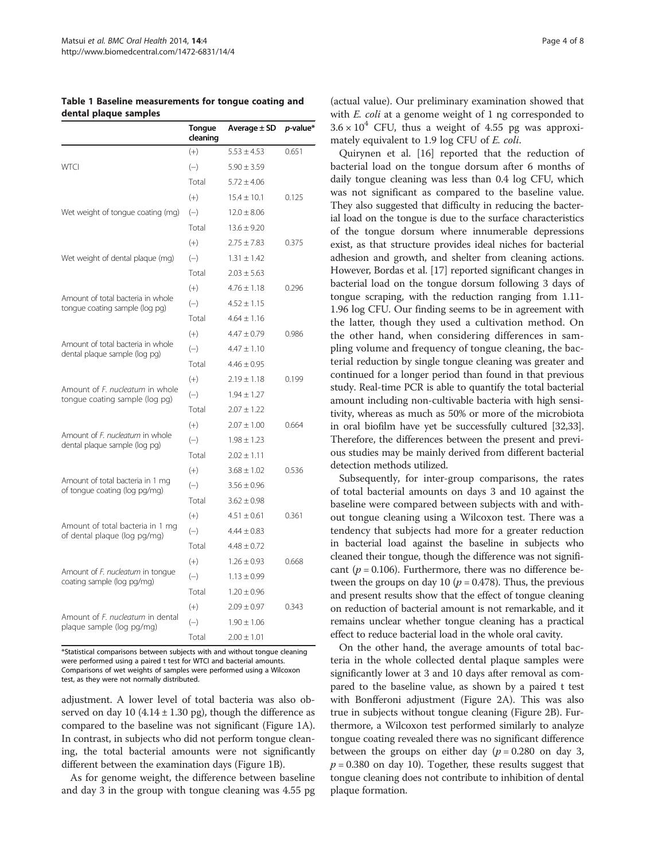<span id="page-3-0"></span>Table 1 Baseline measurements for tongue coating and dental plaque samples

|                                                                     | Tongue<br>cleaning | Average $\pm$ SD | p-value* |
|---------------------------------------------------------------------|--------------------|------------------|----------|
|                                                                     | $(+)$              | $5.53 \pm 4.53$  | 0.651    |
| <b>WTCI</b>                                                         | $(-)$              | $5.90 \pm 3.59$  |          |
|                                                                     | Total              | $5.72 \pm 4.06$  |          |
|                                                                     | $(+)$              | $15.4 \pm 10.1$  | 0.125    |
| Wet weight of tongue coating (mg)                                   | $(-)$              | $12.0 \pm 8.06$  |          |
|                                                                     | Total              | $13.6 \pm 9.20$  |          |
|                                                                     | $(+)$              | $2.75 \pm 7.83$  | 0.375    |
| Wet weight of dental plaque (mg)                                    | $(-)$              | $1.31 \pm 1.42$  |          |
|                                                                     | Total              | $2.03 \pm 5.63$  |          |
|                                                                     | $(+)$              | $4.76 \pm 1.18$  | 0.296    |
| Amount of total bacteria in whole<br>tonque coating sample (log pg) | $(-)$              | $4.52 \pm 1.15$  |          |
|                                                                     | Total              | $4.64 \pm 1.16$  |          |
|                                                                     | $(+)$              | $4.47 + 0.79$    | 0.986    |
| Amount of total bacteria in whole<br>dental plaque sample (log pg)  | $(-)$              | $4.47 \pm 1.10$  |          |
|                                                                     | Total              | $4.46 \pm 0.95$  |          |
|                                                                     | $(+)$              | $2.19 + 1.18$    | 0.199    |
| Amount of F. nucleatum in whole<br>tongue coating sample (log pg)   | $(-)$              | $1.94 \pm 1.27$  |          |
|                                                                     | Total              | $2.07 \pm 1.22$  |          |
|                                                                     | $(+)$              | $2.07 \pm 1.00$  | 0.664    |
| Amount of F. nucleatum in whole<br>dental plaque sample (log pg)    | $(-)$              | $1.98 \pm 1.23$  |          |
|                                                                     | Total              | $2.02 \pm 1.11$  |          |
|                                                                     | $(+)$              | $3.68 \pm 1.02$  | 0.536    |
| Amount of total bacteria in 1 mg<br>of tonque coating (log pg/mg)   | $(-)$              | $3.56 \pm 0.96$  |          |
|                                                                     | Total              | $3.62 \pm 0.98$  |          |
|                                                                     | $(+)$              | $4.51 + 0.61$    | 0.361    |
| Amount of total bacteria in 1 mg<br>of dental plaque (log pg/mg)    | $(-)$              | $4.44 \pm 0.83$  |          |
|                                                                     | Total              | $4.48 \pm 0.72$  |          |
|                                                                     | $(+)$              | $1.26 + 0.93$    | 0.668    |
| Amount of F. nucleatum in tonque<br>coating sample (log pg/mg)      | $(-)$              | $1.13 \pm 0.99$  |          |
|                                                                     | Total              | $1.20 \pm 0.96$  |          |
| Amount of F. nucleatum in dental<br>plaque sample (log pg/mg)       | $(+)$              | $2.09 + 0.97$    | 0.343    |
|                                                                     | $(-)$              | $1.90 \pm 1.06$  |          |
|                                                                     | Total              | $2.00 \pm 1.01$  |          |

\*Statistical comparisons between subjects with and without tongue cleaning were performed using a paired t test for WTCI and bacterial amounts. Comparisons of wet weights of samples were performed using a Wilcoxon test, as they were not normally distributed.

adjustment. A lower level of total bacteria was also observed on day 10 (4.14  $\pm$  1.30 pg), though the difference as compared to the baseline was not significant (Figure [1](#page-4-0)A). In contrast, in subjects who did not perform tongue cleaning, the total bacterial amounts were not significantly different between the examination days (Figure [1](#page-4-0)B).

As for genome weight, the difference between baseline and day 3 in the group with tongue cleaning was 4.55 pg

(actual value). Our preliminary examination showed that with *E. coli* at a genome weight of 1 ng corresponded to  $3.6 \times 10^4$  CFU, thus a weight of 4.55 pg was approximately equivalent to 1.9 log CFU of E. coli.

Quirynen et al. [[16](#page-7-0)] reported that the reduction of bacterial load on the tongue dorsum after 6 months of daily tongue cleaning was less than 0.4 log CFU, which was not significant as compared to the baseline value. They also suggested that difficulty in reducing the bacterial load on the tongue is due to the surface characteristics of the tongue dorsum where innumerable depressions exist, as that structure provides ideal niches for bacterial adhesion and growth, and shelter from cleaning actions. However, Bordas et al. [\[17\]](#page-7-0) reported significant changes in bacterial load on the tongue dorsum following 3 days of tongue scraping, with the reduction ranging from 1.11- 1.96 log CFU. Our finding seems to be in agreement with the latter, though they used a cultivation method. On the other hand, when considering differences in sampling volume and frequency of tongue cleaning, the bacterial reduction by single tongue cleaning was greater and continued for a longer period than found in that previous study. Real-time PCR is able to quantify the total bacterial amount including non-cultivable bacteria with high sensitivity, whereas as much as 50% or more of the microbiota in oral biofilm have yet be successfully cultured [\[32,33](#page-7-0)]. Therefore, the differences between the present and previous studies may be mainly derived from different bacterial detection methods utilized.

Subsequently, for inter-group comparisons, the rates of total bacterial amounts on days 3 and 10 against the baseline were compared between subjects with and without tongue cleaning using a Wilcoxon test. There was a tendency that subjects had more for a greater reduction in bacterial load against the baseline in subjects who cleaned their tongue, though the difference was not significant ( $p = 0.106$ ). Furthermore, there was no difference between the groups on day 10 ( $p = 0.478$ ). Thus, the previous and present results show that the effect of tongue cleaning on reduction of bacterial amount is not remarkable, and it remains unclear whether tongue cleaning has a practical effect to reduce bacterial load in the whole oral cavity.

On the other hand, the average amounts of total bacteria in the whole collected dental plaque samples were significantly lower at 3 and 10 days after removal as compared to the baseline value, as shown by a paired t test with Bonfferoni adjustment (Figure [2](#page-4-0)A). This was also true in subjects without tongue cleaning (Figure [2](#page-4-0)B). Furthermore, a Wilcoxon test performed similarly to analyze tongue coating revealed there was no significant difference between the groups on either day  $(p = 0.280$  on day 3,  $p = 0.380$  on day 10). Together, these results suggest that tongue cleaning does not contribute to inhibition of dental plaque formation.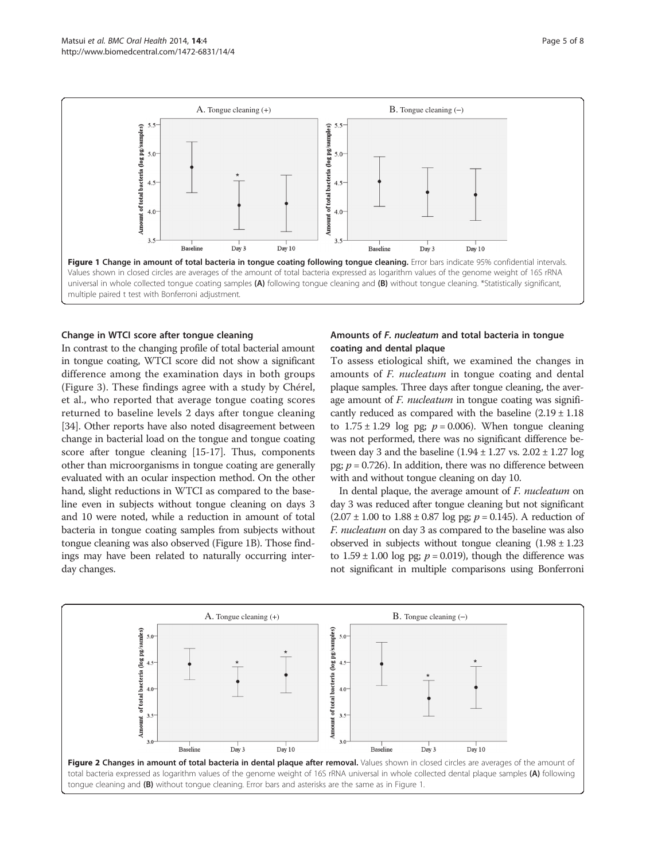<span id="page-4-0"></span>

#### Change in WTCI score after tongue cleaning

In contrast to the changing profile of total bacterial amount in tongue coating, WTCI score did not show a significant difference among the examination days in both groups (Figure [3\)](#page-5-0). These findings agree with a study by Chérel, et al., who reported that average tongue coating scores returned to baseline levels 2 days after tongue cleaning [[34](#page-7-0)]. Other reports have also noted disagreement between change in bacterial load on the tongue and tongue coating score after tongue cleaning [\[15-17\]](#page-7-0). Thus, components other than microorganisms in tongue coating are generally evaluated with an ocular inspection method. On the other hand, slight reductions in WTCI as compared to the baseline even in subjects without tongue cleaning on days 3 and 10 were noted, while a reduction in amount of total bacteria in tongue coating samples from subjects without tongue cleaning was also observed (Figure 1B). Those findings may have been related to naturally occurring interday changes.

## Amounts of F. nucleatum and total bacteria in tongue coating and dental plaque

To assess etiological shift, we examined the changes in amounts of *F. nucleatum* in tongue coating and dental plaque samples. Three days after tongue cleaning, the average amount of *F. nucleatum* in tongue coating was significantly reduced as compared with the baseline  $(2.19 \pm 1.18)$ to  $1.75 \pm 1.29$  log pg;  $p = 0.006$ ). When tongue cleaning was not performed, there was no significant difference between day 3 and the baseline  $(1.94 \pm 1.27 \text{ vs. } 2.02 \pm 1.27 \text{ log})$ pg;  $p = 0.726$ ). In addition, there was no difference between with and without tongue cleaning on day 10.

In dental plaque, the average amount of F. nucleatum on day 3 was reduced after tongue cleaning but not significant  $(2.07 \pm 1.00 \text{ to } 1.88 \pm 0.87 \text{ log pg}; p = 0.145)$ . A reduction of F. nucleatum on day 3 as compared to the baseline was also observed in subjects without tongue cleaning  $(1.98 \pm 1.23)$ to  $1.59 \pm 1.00$  log pg;  $p = 0.019$ ), though the difference was not significant in multiple comparisons using Bonferroni

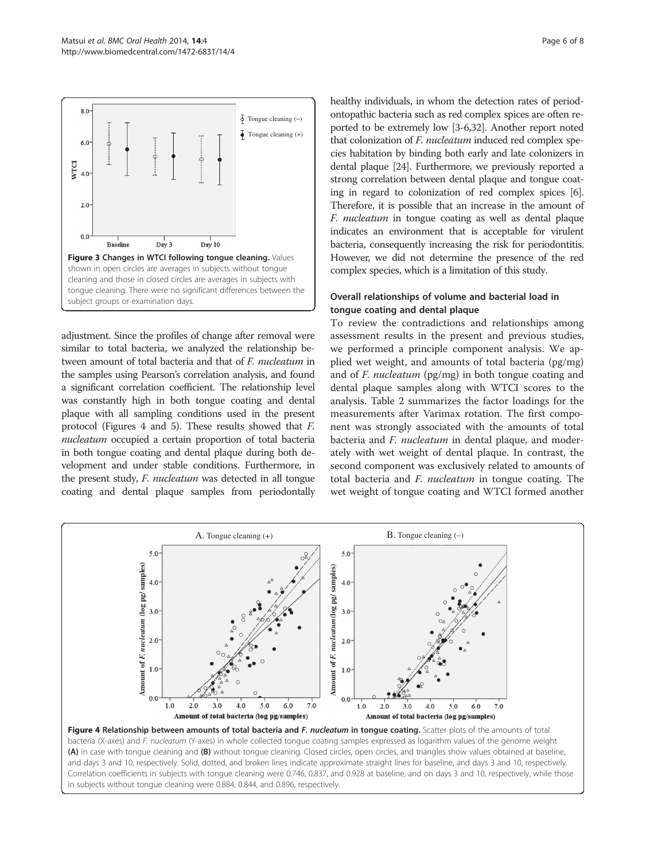<span id="page-5-0"></span>

adjustment. Since the profiles of change after removal were similar to total bacteria, we analyzed the relationship between amount of total bacteria and that of F. nucleatum in the samples using Pearson's correlation analysis, and found a significant correlation coefficient. The relationship level was constantly high in both tongue coating and dental plaque with all sampling conditions used in the present protocol (Figures 4 and [5](#page-6-0)). These results showed that F. nucleatum occupied a certain proportion of total bacteria in both tongue coating and dental plaque during both development and under stable conditions. Furthermore, in the present study, F. nucleatum was detected in all tongue coating and dental plaque samples from periodontally

in subjects without tongue cleaning were 0.884, 0.844, and 0.896, respectively.

healthy individuals, in whom the detection rates of periodontopathic bacteria such as red complex spices are often reported to be extremely low [[3-6,32\]](#page-7-0). Another report noted that colonization of F. nucleatum induced red complex species habitation by binding both early and late colonizers in dental plaque [\[24\]](#page-7-0). Furthermore, we previously reported a strong correlation between dental plaque and tongue coating in regard to colonization of red complex spices [[6](#page-7-0)]. Therefore, it is possible that an increase in the amount of F. nucleatum in tongue coating as well as dental plaque indicates an environment that is acceptable for virulent bacteria, consequently increasing the risk for periodontitis. However, we did not determine the presence of the red complex species, which is a limitation of this study.

## Overall relationships of volume and bacterial load in tongue coating and dental plaque

To review the contradictions and relationships among assessment results in the present and previous studies, we performed a principle component analysis. We applied wet weight, and amounts of total bacteria (pg/mg) and of F. nucleatum (pg/mg) in both tongue coating and dental plaque samples along with WTCI scores to the analysis. Table [2](#page-6-0) summarizes the factor loadings for the measurements after Varimax rotation. The first component was strongly associated with the amounts of total bacteria and F. nucleatum in dental plaque, and moderately with wet weight of dental plaque. In contrast, the second component was exclusively related to amounts of total bacteria and F. nucleatum in tongue coating. The wet weight of tongue coating and WTCI formed another

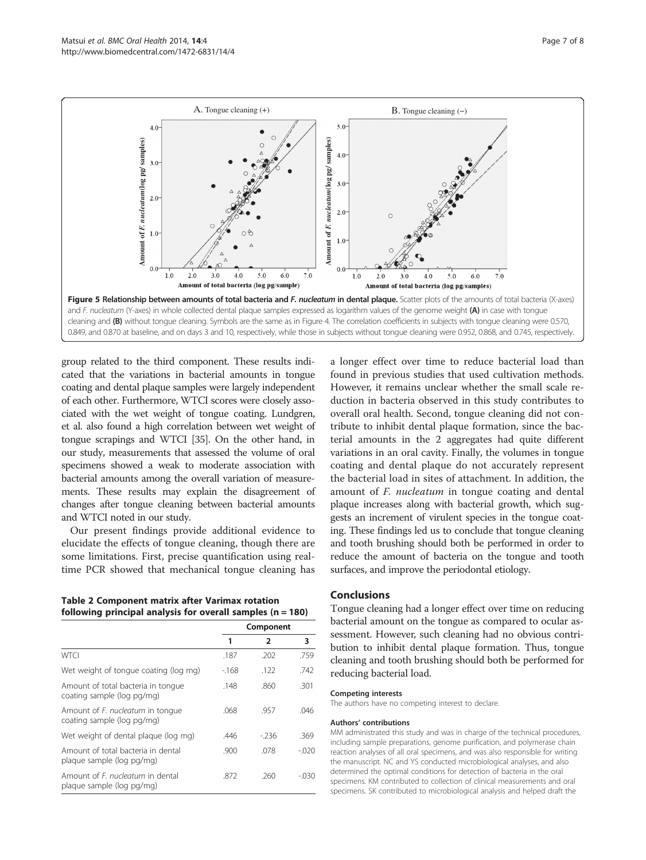<span id="page-6-0"></span>

group related to the third component. These results indicated that the variations in bacterial amounts in tongue coating and dental plaque samples were largely independent of each other. Furthermore, WTCI scores were closely associated with the wet weight of tongue coating. Lundgren, et al. also found a high correlation between wet weight of tongue scrapings and WTCI [[35](#page-7-0)]. On the other hand, in our study, measurements that assessed the volume of oral specimens showed a weak to moderate association with bacterial amounts among the overall variation of measurements. These results may explain the disagreement of changes after tongue cleaning between bacterial amounts and WTCI noted in our study.

Our present findings provide additional evidence to elucidate the effects of tongue cleaning, though there are some limitations. First, precise quantification using realtime PCR showed that mechanical tongue cleaning has

Table 2 Component matrix after Varimax rotation following principal analysis for overall samples ( $n = 180$ )

|                                                                      | Component |        |          |
|----------------------------------------------------------------------|-----------|--------|----------|
|                                                                      | 1         | 2      | 3        |
| <b>WTCI</b>                                                          | .187      | .202   | .759     |
| Wet weight of tongue coating (log mg)                                | $-168$    | .122   | .742     |
| Amount of total bacteria in tonque<br>coating sample (log pg/mg)     | .148      | .860   | .301     |
| Amount of F. nucleatum in tonque<br>coating sample (log pg/mg)       | .068      | .957   | .046     |
| Wet weight of dental plaque (log mg)                                 | .446      | $-236$ | .369     |
| Amount of total bacteria in dental<br>plaque sample (log pg/mg)      | .900      | .078   | $-0.020$ |
| Amount of <i>F. nucleatum</i> in dental<br>plaque sample (log pg/mg) | .872      | .260   | $-0.030$ |

a longer effect over time to reduce bacterial load than found in previous studies that used cultivation methods. However, it remains unclear whether the small scale reduction in bacteria observed in this study contributes to overall oral health. Second, tongue cleaning did not contribute to inhibit dental plaque formation, since the bacterial amounts in the 2 aggregates had quite different variations in an oral cavity. Finally, the volumes in tongue coating and dental plaque do not accurately represent the bacterial load in sites of attachment. In addition, the amount of *F. nucleatum* in tongue coating and dental plaque increases along with bacterial growth, which suggests an increment of virulent species in the tongue coating. These findings led us to conclude that tongue cleaning and tooth brushing should both be performed in order to reduce the amount of bacteria on the tongue and tooth surfaces, and improve the periodontal etiology.

#### **Conclusions**

Tongue cleaning had a longer effect over time on reducing bacterial amount on the tongue as compared to ocular assessment. However, such cleaning had no obvious contribution to inhibit dental plaque formation. Thus, tongue cleaning and tooth brushing should both be performed for reducing bacterial load.

#### Competing interests

The authors have no competing interest to declare.

#### Authors' contributions

MM administrated this study and was in charge of the technical procedures, including sample preparations, genome purification, and polymerase chain reaction analyses of all oral specimens, and was also responsible for writing the manuscript. NC and YS conducted microbiological analyses, and also determined the optimal conditions for detection of bacteria in the oral specimens. KM contributed to collection of clinical measurements and oral specimens. SK contributed to microbiological analysis and helped draft the